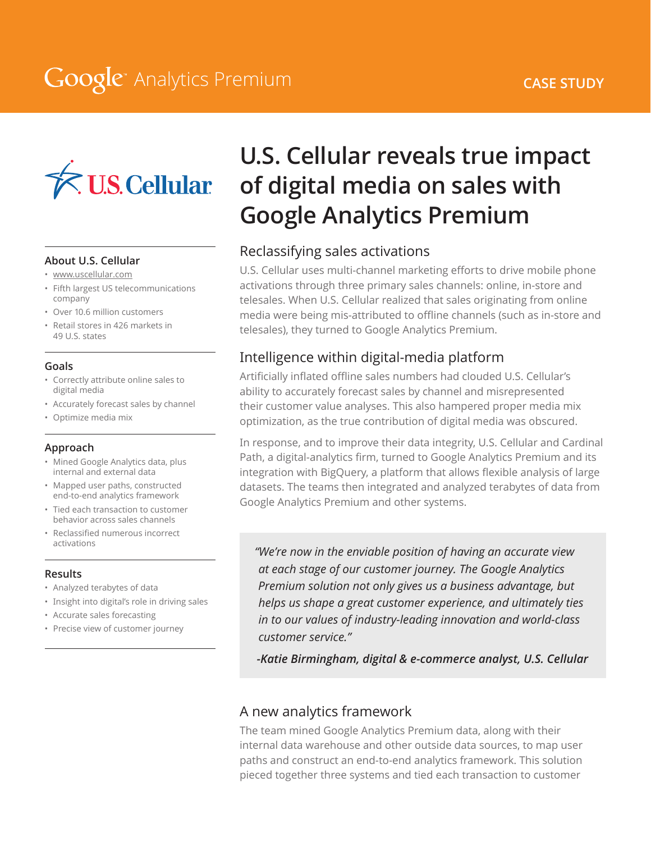### **CASE STUDY**

## **Google** Analytics Premium



#### **About U.S. Cellular**

- www.uscellular.com
- Fifth largest US telecommunications company
- Over 10.6 million customers
- Retail stores in 426 markets in 49 U.S. states

#### **Goals**

- Correctly attribute online sales to digital media
- Accurately forecast sales by channel
- Optimize media mix

#### **Approach**

- Mined Google Analytics data, plus internal and external data
- Mapped user paths, constructed end-to-end analytics framework
- Tied each transaction to customer behavior across sales channels
- Reclassified numerous incorrect activations

#### **Results**

- Analyzed terabytes of data
- Insight into digital's role in driving sales
- Accurate sales forecasting
- Precise view of customer journey

## **U.S. Cellular reveals true impact of digital media on sales with Google Analytics Premium**

## Reclassifying sales activations

U.S. Cellular uses multi-channel marketing efforts to drive mobile phone activations through three primary sales channels: online, in-store and telesales. When U.S. Cellular realized that sales originating from online media were being mis-attributed to offline channels (such as in-store and telesales), they turned to Google Analytics Premium.

## Intelligence within digital-media platform

Artificially inflated offline sales numbers had clouded U.S. Cellular's ability to accurately forecast sales by channel and misrepresented their customer value analyses. This also hampered proper media mix optimization, as the true contribution of digital media was obscured.

In response, and to improve their data integrity, U.S. Cellular and Cardinal Path, a digital-analytics firm, turned to Google Analytics Premium and its integration with BigQuery, a platform that allows flexible analysis of large datasets. The teams then integrated and analyzed terabytes of data from Google Analytics Premium and other systems.

*"We're now in the enviable position of having an accurate view at each stage of our customer journey. The Google Analytics Premium solution not only gives us a business advantage, but helps us shape a great customer experience, and ultimately ties in to our values of industry-leading innovation and world-class customer service."*

*-Katie Birmingham, digital & e-commerce analyst, U.S. Cellular*

## A new analytics framework

The team mined Google Analytics Premium data, along with their internal data warehouse and other outside data sources, to map user paths and construct an end-to-end analytics framework. This solution pieced together three systems and tied each transaction to customer